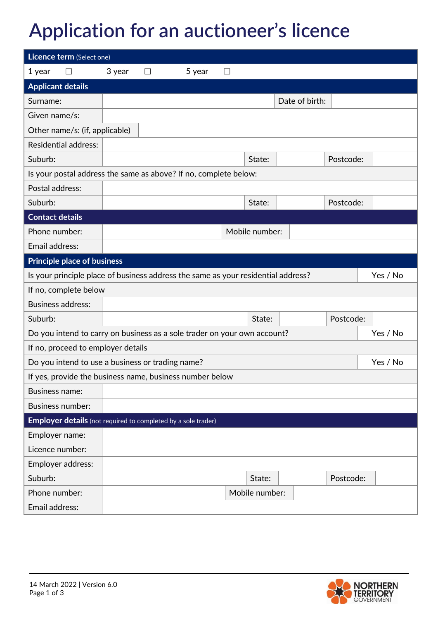## **Application for an auctioneer's licence**

| Licence term (Select one)                                                         |                                                                                      |   |        |                   |                |                |           |          |
|-----------------------------------------------------------------------------------|--------------------------------------------------------------------------------------|---|--------|-------------------|----------------|----------------|-----------|----------|
| 1 year<br>$\mathsf{L}$                                                            | 3 year                                                                               | ⊔ | 5 year | $\vert \ \ \vert$ |                |                |           |          |
| <b>Applicant details</b>                                                          |                                                                                      |   |        |                   |                |                |           |          |
| Surname:                                                                          |                                                                                      |   |        |                   |                | Date of birth: |           |          |
| Given name/s:                                                                     |                                                                                      |   |        |                   |                |                |           |          |
| Other name/s: (if, applicable)                                                    |                                                                                      |   |        |                   |                |                |           |          |
| <b>Residential address:</b>                                                       |                                                                                      |   |        |                   |                |                |           |          |
| Suburb:                                                                           |                                                                                      |   |        |                   | State:         |                | Postcode: |          |
| Is your postal address the same as above? If no, complete below:                  |                                                                                      |   |        |                   |                |                |           |          |
| Postal address:                                                                   |                                                                                      |   |        |                   |                |                |           |          |
| Suburb:                                                                           |                                                                                      |   |        |                   | State:         |                | Postcode: |          |
| <b>Contact details</b>                                                            |                                                                                      |   |        |                   |                |                |           |          |
| Phone number:                                                                     |                                                                                      |   |        |                   | Mobile number: |                |           |          |
| Email address:                                                                    |                                                                                      |   |        |                   |                |                |           |          |
| <b>Principle place of business</b>                                                |                                                                                      |   |        |                   |                |                |           |          |
| Is your principle place of business address the same as your residential address? |                                                                                      |   |        |                   |                |                |           | Yes / No |
| If no, complete below                                                             |                                                                                      |   |        |                   |                |                |           |          |
| <b>Business address:</b>                                                          |                                                                                      |   |        |                   |                |                |           |          |
| Suburb:                                                                           |                                                                                      |   |        |                   | State:         |                | Postcode: |          |
|                                                                                   | Do you intend to carry on business as a sole trader on your own account?<br>Yes / No |   |        |                   |                |                |           |          |
| If no, proceed to employer details                                                |                                                                                      |   |        |                   |                |                |           |          |
|                                                                                   | Do you intend to use a business or trading name?<br>Yes / No                         |   |        |                   |                |                |           |          |
| If yes, provide the business name, business number below                          |                                                                                      |   |        |                   |                |                |           |          |
| <b>Business name:</b>                                                             |                                                                                      |   |        |                   |                |                |           |          |
| <b>Business number:</b>                                                           |                                                                                      |   |        |                   |                |                |           |          |
| <b>Employer details</b> (not required to completed by a sole trader)              |                                                                                      |   |        |                   |                |                |           |          |
| Employer name:                                                                    |                                                                                      |   |        |                   |                |                |           |          |
| Licence number:                                                                   |                                                                                      |   |        |                   |                |                |           |          |
| Employer address:                                                                 |                                                                                      |   |        |                   |                |                |           |          |
| Suburb:                                                                           |                                                                                      |   |        |                   | State:         |                | Postcode: |          |
| Phone number:                                                                     |                                                                                      |   |        |                   | Mobile number: |                |           |          |
| Email address:                                                                    |                                                                                      |   |        |                   |                |                |           |          |

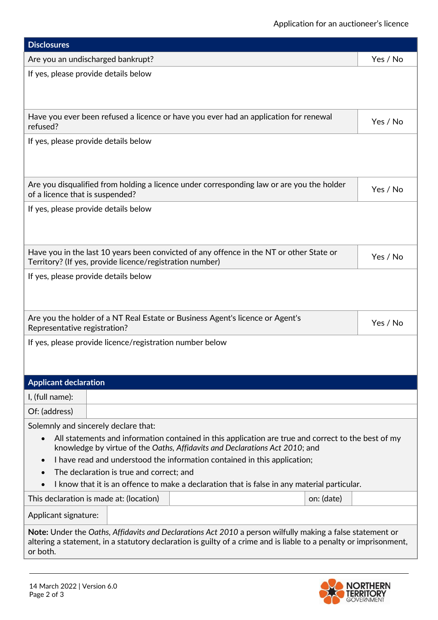| <b>Disclosures</b>                                                                                                                                                                                                                                                                                                                                                                                                                                                                                      |          |  |  |  |  |  |  |
|---------------------------------------------------------------------------------------------------------------------------------------------------------------------------------------------------------------------------------------------------------------------------------------------------------------------------------------------------------------------------------------------------------------------------------------------------------------------------------------------------------|----------|--|--|--|--|--|--|
| Are you an undischarged bankrupt?                                                                                                                                                                                                                                                                                                                                                                                                                                                                       | Yes / No |  |  |  |  |  |  |
| If yes, please provide details below                                                                                                                                                                                                                                                                                                                                                                                                                                                                    |          |  |  |  |  |  |  |
| Have you ever been refused a licence or have you ever had an application for renewal<br>refused?                                                                                                                                                                                                                                                                                                                                                                                                        | Yes / No |  |  |  |  |  |  |
| If yes, please provide details below                                                                                                                                                                                                                                                                                                                                                                                                                                                                    |          |  |  |  |  |  |  |
| Are you disqualified from holding a licence under corresponding law or are you the holder<br>of a licence that is suspended?                                                                                                                                                                                                                                                                                                                                                                            | Yes / No |  |  |  |  |  |  |
| If yes, please provide details below                                                                                                                                                                                                                                                                                                                                                                                                                                                                    |          |  |  |  |  |  |  |
| Have you in the last 10 years been convicted of any offence in the NT or other State or<br>Territory? (If yes, provide licence/registration number)                                                                                                                                                                                                                                                                                                                                                     | Yes / No |  |  |  |  |  |  |
| If yes, please provide details below                                                                                                                                                                                                                                                                                                                                                                                                                                                                    |          |  |  |  |  |  |  |
| Are you the holder of a NT Real Estate or Business Agent's licence or Agent's<br>Representative registration?                                                                                                                                                                                                                                                                                                                                                                                           | Yes / No |  |  |  |  |  |  |
| If yes, please provide licence/registration number below                                                                                                                                                                                                                                                                                                                                                                                                                                                |          |  |  |  |  |  |  |
| <b>Applicant declaration</b>                                                                                                                                                                                                                                                                                                                                                                                                                                                                            |          |  |  |  |  |  |  |
| I, (full name):                                                                                                                                                                                                                                                                                                                                                                                                                                                                                         |          |  |  |  |  |  |  |
| Of: (address)                                                                                                                                                                                                                                                                                                                                                                                                                                                                                           |          |  |  |  |  |  |  |
| Solemnly and sincerely declare that:<br>All statements and information contained in this application are true and correct to the best of my<br>$\bullet$<br>knowledge by virtue of the Oaths, Affidavits and Declarations Act 2010; and<br>I have read and understood the information contained in this application;<br>$\bullet$<br>The declaration is true and correct; and<br>$\bullet$<br>I know that it is an offence to make a declaration that is false in any material particular.<br>$\bullet$ |          |  |  |  |  |  |  |
| This declaration is made at: (location)<br>on: (date)                                                                                                                                                                                                                                                                                                                                                                                                                                                   |          |  |  |  |  |  |  |
| Applicant signature:                                                                                                                                                                                                                                                                                                                                                                                                                                                                                    |          |  |  |  |  |  |  |
| Note: Under the Oaths, Affidavits and Declarations Act 2010 a person wilfully making a false statement or<br>altering a statement, in a statutory declaration is guilty of a crime and is liable to a penalty or imprisonment,<br>or both.                                                                                                                                                                                                                                                              |          |  |  |  |  |  |  |